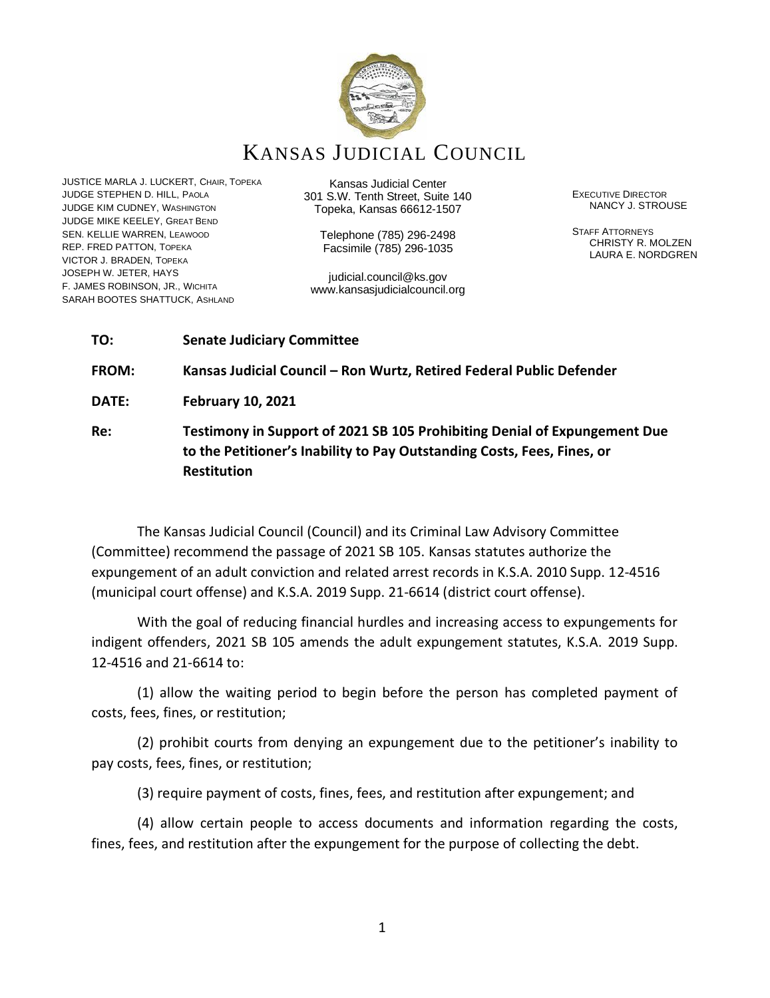

# KANSAS JUDICIAL COUNCIL

JUSTICE MARLA J. LUCKERT, CHAIR, TOPEKA JUDGE STEPHEN D. HILL, PAOLA JUDGE KIM CUDNEY, WASHINGTON JUDGE MIKE KEELEY, GREAT BEND SEN. KELLIE WARREN, LEAWOOD REP. FRED PATTON, TOPEKA VICTOR J. BRADEN, TOPEKA JOSEPH W. JETER, HAYS F. JAMES ROBINSON, JR., WICHITA SARAH BOOTES SHATTUCK, ASHLAND

Kansas Judicial Center 301 S.W. Tenth Street, Suite 140 Topeka, Kansas 66612-1507

Telephone (785) 296-2498 Facsimile (785) 296-1035

judicial.council@ks.gov www.kansasjudicialcouncil.org EXECUTIVE DIRECTOR NANCY J. STROUSE

STAFF ATTORNEYS CHRISTY R. MOLZEN LAURA E. NORDGREN

# **TO: Senate Judiciary Committee FROM: Kansas Judicial Council – Ron Wurtz, Retired Federal Public Defender DATE: February 10, 2021**

**Re: Testimony in Support of 2021 SB 105 Prohibiting Denial of Expungement Due to the Petitioner's Inability to Pay Outstanding Costs, Fees, Fines, or Restitution**

The Kansas Judicial Council (Council) and its Criminal Law Advisory Committee (Committee) recommend the passage of 2021 SB 105. Kansas statutes authorize the expungement of an adult conviction and related arrest records in K.S.A. 2010 Supp. 12-4516 (municipal court offense) and K.S.A. 2019 Supp. 21-6614 (district court offense).

With the goal of reducing financial hurdles and increasing access to expungements for indigent offenders, 2021 SB 105 amends the adult expungement statutes, K.S.A. 2019 Supp. 12-4516 and 21-6614 to:

(1) allow the waiting period to begin before the person has completed payment of costs, fees, fines, or restitution;

(2) prohibit courts from denying an expungement due to the petitioner's inability to pay costs, fees, fines, or restitution;

(3) require payment of costs, fines, fees, and restitution after expungement; and

(4) allow certain people to access documents and information regarding the costs, fines, fees, and restitution after the expungement for the purpose of collecting the debt.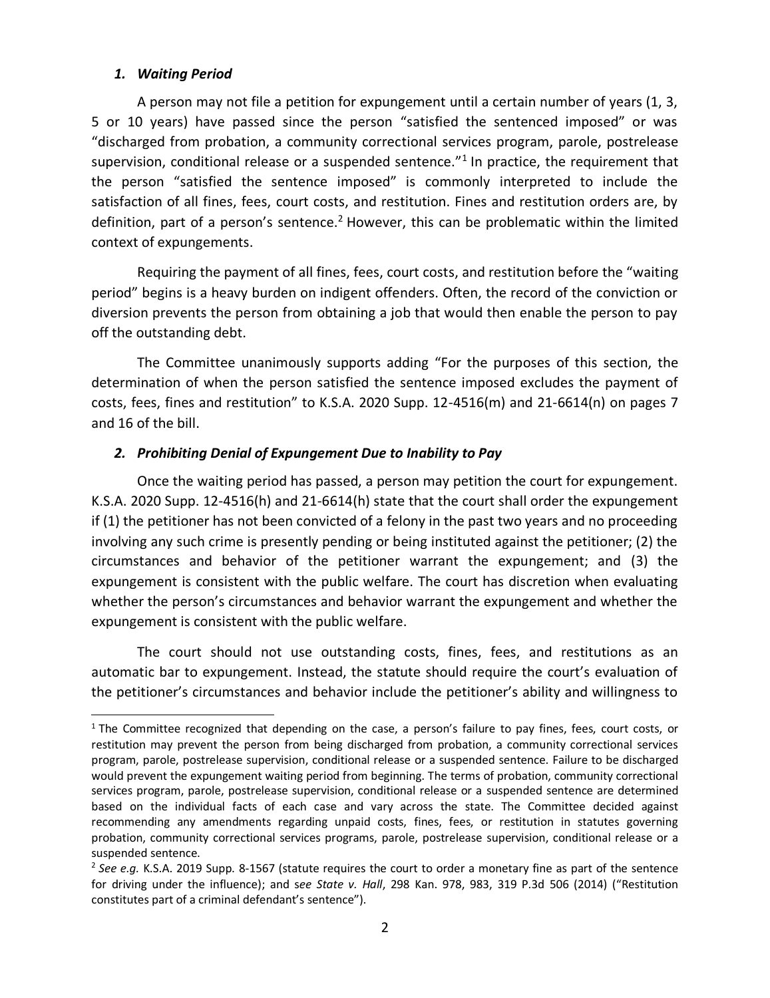#### *1. Waiting Period*

A person may not file a petition for expungement until a certain number of years (1, 3, 5 or 10 years) have passed since the person "satisfied the sentenced imposed" or was "discharged from probation, a community correctional services program, parole, postrelease supervision, conditional release or a suspended sentence."<sup>1</sup> In practice, the requirement that the person "satisfied the sentence imposed" is commonly interpreted to include the satisfaction of all fines, fees, court costs, and restitution. Fines and restitution orders are, by definition, part of a person's sentence.<sup>2</sup> However, this can be problematic within the limited context of expungements.

Requiring the payment of all fines, fees, court costs, and restitution before the "waiting period" begins is a heavy burden on indigent offenders. Often, the record of the conviction or diversion prevents the person from obtaining a job that would then enable the person to pay off the outstanding debt.

The Committee unanimously supports adding "For the purposes of this section, the determination of when the person satisfied the sentence imposed excludes the payment of costs, fees, fines and restitution" to K.S.A. 2020 Supp. 12-4516(m) and 21-6614(n) on pages 7 and 16 of the bill.

#### *2. Prohibiting Denial of Expungement Due to Inability to Pay*

Once the waiting period has passed, a person may petition the court for expungement. K.S.A. 2020 Supp. 12-4516(h) and 21-6614(h) state that the court shall order the expungement if (1) the petitioner has not been convicted of a felony in the past two years and no proceeding involving any such crime is presently pending or being instituted against the petitioner; (2) the circumstances and behavior of the petitioner warrant the expungement; and (3) the expungement is consistent with the public welfare. The court has discretion when evaluating whether the person's circumstances and behavior warrant the expungement and whether the expungement is consistent with the public welfare.

The court should not use outstanding costs, fines, fees, and restitutions as an automatic bar to expungement. Instead, the statute should require the court's evaluation of the petitioner's circumstances and behavior include the petitioner's ability and willingness to

 $1$  The Committee recognized that depending on the case, a person's failure to pay fines, fees, court costs, or restitution may prevent the person from being discharged from probation, a community correctional services program, parole, postrelease supervision, conditional release or a suspended sentence. Failure to be discharged would prevent the expungement waiting period from beginning. The terms of probation, community correctional services program, parole, postrelease supervision, conditional release or a suspended sentence are determined based on the individual facts of each case and vary across the state. The Committee decided against recommending any amendments regarding unpaid costs, fines, fees, or restitution in statutes governing probation, community correctional services programs, parole, postrelease supervision, conditional release or a suspended sentence.

<sup>2</sup> *See e.g.* K.S.A. 2019 Supp. 8-1567 (statute requires the court to order a monetary fine as part of the sentence for driving under the influence); and s*ee State v. Hall*, 298 Kan. 978, 983, 319 P.3d 506 (2014) ("Restitution constitutes part of a criminal defendant's sentence").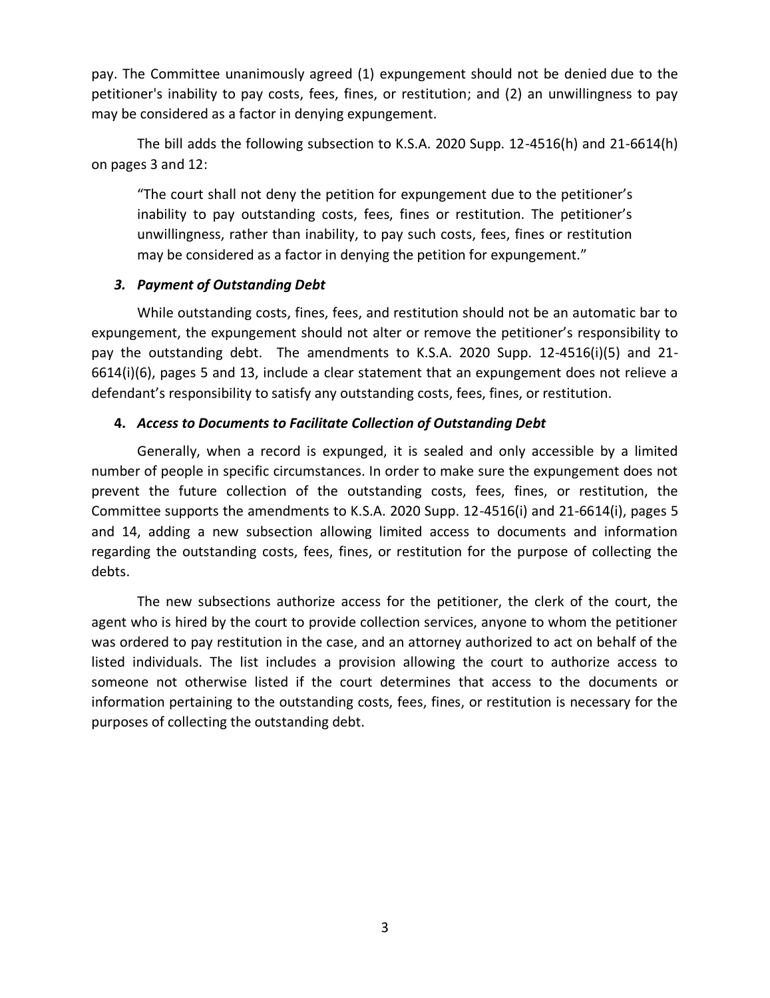pay. The Committee unanimously agreed (1) expungement should not be denied due to the petitioner's inability to pay costs, fees, fines, or restitution; and (2) an unwillingness to pay may be considered as a factor in denying expungement.

The bill adds the following subsection to K.S.A. 2020 Supp. 12-4516(h) and 21-6614(h) on pages 3 and 12:

"The court shall not deny the petition for expungement due to the petitioner's inability to pay outstanding costs, fees, fines or restitution. The petitioner's unwillingness, rather than inability, to pay such costs, fees, fines or restitution may be considered as a factor in denying the petition for expungement."

## *3. Payment of Outstanding Debt*

While outstanding costs, fines, fees, and restitution should not be an automatic bar to expungement, the expungement should not alter or remove the petitioner's responsibility to pay the outstanding debt. The amendments to K.S.A. 2020 Supp. 12-4516(i)(5) and 21- 6614(i)(6), pages 5 and 13, include a clear statement that an expungement does not relieve a defendant's responsibility to satisfy any outstanding costs, fees, fines, or restitution.

## **4.** *Access to Documents to Facilitate Collection of Outstanding Debt*

Generally, when a record is expunged, it is sealed and only accessible by a limited number of people in specific circumstances. In order to make sure the expungement does not prevent the future collection of the outstanding costs, fees, fines, or restitution, the Committee supports the amendments to K.S.A. 2020 Supp. 12-4516(i) and 21-6614(i), pages 5 and 14, adding a new subsection allowing limited access to documents and information regarding the outstanding costs, fees, fines, or restitution for the purpose of collecting the debts.

The new subsections authorize access for the petitioner, the clerk of the court, the agent who is hired by the court to provide collection services, anyone to whom the petitioner was ordered to pay restitution in the case, and an attorney authorized to act on behalf of the listed individuals. The list includes a provision allowing the court to authorize access to someone not otherwise listed if the court determines that access to the documents or information pertaining to the outstanding costs, fees, fines, or restitution is necessary for the purposes of collecting the outstanding debt.